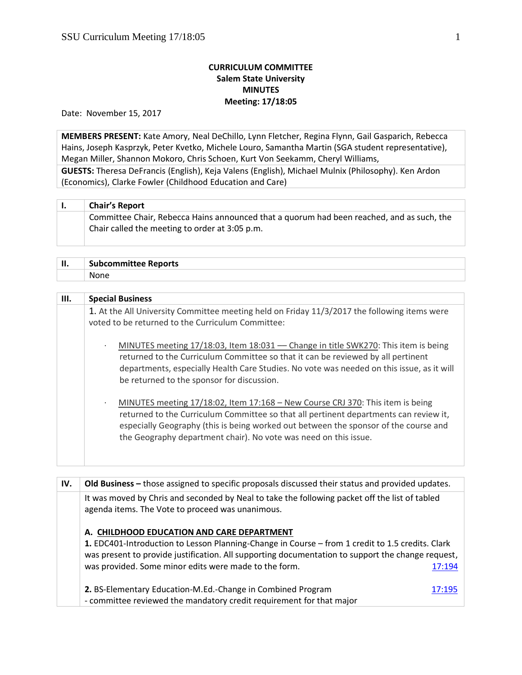## **CURRICULUM COMMITTEE Salem State University MINUTES Meeting: 17/18:05**

Date: November 15, 2017

**MEMBERS PRESENT:** Kate Amory, Neal DeChillo, Lynn Fletcher, Regina Flynn, Gail Gasparich, Rebecca Hains, Joseph Kasprzyk, Peter Kvetko, Michele Louro, Samantha Martin (SGA student representative), Megan Miller, Shannon Mokoro, Chris Schoen, Kurt Von Seekamm, Cheryl Williams,

**GUESTS:** Theresa DeFrancis (English), Keja Valens (English), Michael Mulnix (Philosophy). Ken Ardon (Economics), Clarke Fowler (Childhood Education and Care)

| <b>Chair's Report</b>                                                                     |
|-------------------------------------------------------------------------------------------|
| Committee Chair, Rebecca Hains announced that a quorum had been reached, and as such, the |
| Chair called the meeting to order at 3:05 p.m.                                            |
|                                                                                           |

| П. | <b>Subcommittee Reports</b> |
|----|-----------------------------|
|    | .<br>None                   |

| III. | <b>Special Business</b>                                                                                                                                                                                                                                                                                                                           |
|------|---------------------------------------------------------------------------------------------------------------------------------------------------------------------------------------------------------------------------------------------------------------------------------------------------------------------------------------------------|
|      | 1. At the All University Committee meeting held on Friday 11/3/2017 the following items were<br>voted to be returned to the Curriculum Committee:                                                                                                                                                                                                 |
|      | MINUTES meeting 17/18:03, Item 18:031 - Change in title SWK270: This item is being<br>$\bullet$<br>returned to the Curriculum Committee so that it can be reviewed by all pertinent<br>departments, especially Health Care Studies. No vote was needed on this issue, as it will<br>be returned to the sponsor for discussion.                    |
|      | MINUTES meeting 17/18:02, Item 17:168 - New Course CRJ 370: This item is being<br>$\epsilon$<br>returned to the Curriculum Committee so that all pertinent departments can review it,<br>especially Geography (this is being worked out between the sponsor of the course and<br>the Geography department chair). No vote was need on this issue. |

| IV. | Old Business - those assigned to specific proposals discussed their status and provided updates.                                                                                                                                                                                                             |        |
|-----|--------------------------------------------------------------------------------------------------------------------------------------------------------------------------------------------------------------------------------------------------------------------------------------------------------------|--------|
|     | It was moved by Chris and seconded by Neal to take the following packet off the list of tabled<br>agenda items. The Vote to proceed was unanimous.                                                                                                                                                           |        |
|     | A. CHILDHOOD EDUCATION AND CARE DEPARTMENT<br>1. EDC401-Introduction to Lesson Planning-Change in Course – from 1 credit to 1.5 credits. Clark<br>was present to provide justification. All supporting documentation to support the change request,<br>was provided. Some minor edits were made to the form. | 17:194 |
|     | 2. BS-Elementary Education-M.Ed.-Change in Combined Program<br>- committee reviewed the mandatory credit requirement for that major                                                                                                                                                                          | 17:195 |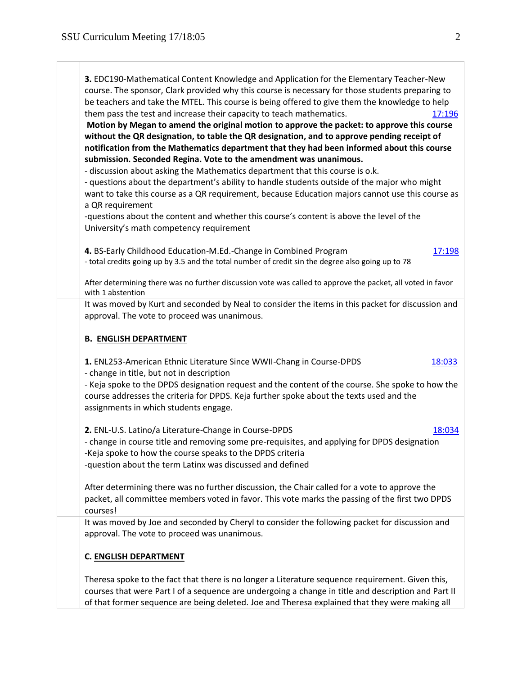**3.** EDC190-Mathematical Content Knowledge and Application for the Elementary Teacher-New course. The sponsor, Clark provided why this course is necessary for those students preparing to be teachers and take the MTEL. This course is being offered to give them the knowledge to help them pass the test and increase their capacity to teach mathematics. [17:196](https://polaris.salemstate.edu/governance/?trackingNum=17:196&search=all) **Motion by Megan to amend the original motion to approve the packet: to approve this course without the QR designation, to table the QR designation, and to approve pending receipt of notification from the Mathematics department that they had been informed about this course submission. Seconded Regina. Vote to the amendment was unanimous.**  - discussion about asking the Mathematics department that this course is o.k. - questions about the department's ability to handle students outside of the major who might want to take this course as a QR requirement, because Education majors cannot use this course as a QR requirement -questions about the content and whether this course's content is above the level of the University's math competency requirement **4.** BS-Early Childhood Education-M.Ed.-Change in Combined Program [17:198](https://polaris.salemstate.edu/governance/?trackingNum=17:198&search=all) - total credits going up by 3.5 and the total number of credit sin the degree also going up to 78 After determining there was no further discussion vote was called to approve the packet, all voted in favor with 1 abstention It was moved by Kurt and seconded by Neal to consider the items in this packet for discussion and approval. The vote to proceed was unanimous. **B. ENGLISH DEPARTMENT 1.** ENL253-American Ethnic Literature Since WWII-Chang in Course-DPDS [18:033](https://polaris.salemstate.edu/governance/?trackingNum=18:033&search=all) - change in title, but not in description - Keja spoke to the DPDS designation request and the content of the course. She spoke to how the course addresses the criteria for DPDS. Keja further spoke about the texts used and the assignments in which students engage. **2.** ENL-U.S. Latino/a Literature-Change in Course-DPDS [18:034](https://polaris.salemstate.edu/governance/?trackingNum=18:034&search=all) - change in course title and removing some pre-requisites, and applying for DPDS designation -Keja spoke to how the course speaks to the DPDS criteria -question about the term Latinx was discussed and defined After determining there was no further discussion, the Chair called for a vote to approve the packet, all committee members voted in favor. This vote marks the passing of the first two DPDS courses! It was moved by Joe and seconded by Cheryl to consider the following packet for discussion and approval. The vote to proceed was unanimous. **C. ENGLISH DEPARTMENT**

Theresa spoke to the fact that there is no longer a Literature sequence requirement. Given this, courses that were Part I of a sequence are undergoing a change in title and description and Part II of that former sequence are being deleted. Joe and Theresa explained that they were making all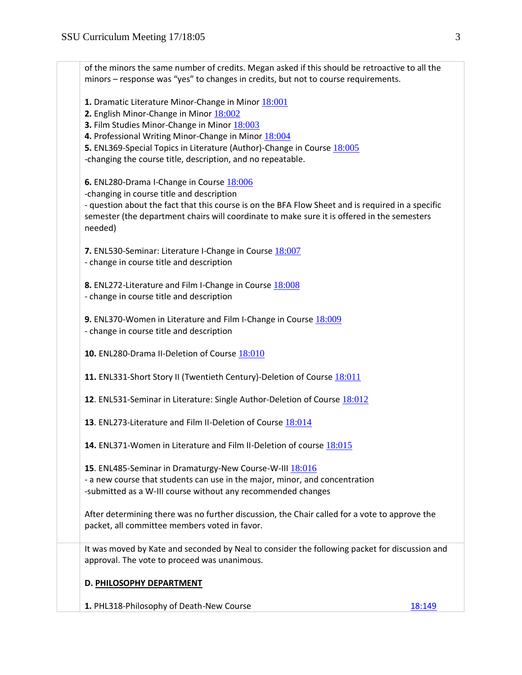| of the minors the same number of credits. Megan asked if this should be retroactive to all the<br>minors - response was "yes" to changes in credits, but not to course requirements.                                                                                                                                                             |
|--------------------------------------------------------------------------------------------------------------------------------------------------------------------------------------------------------------------------------------------------------------------------------------------------------------------------------------------------|
| 1. Dramatic Literature Minor-Change in Minor 18:001<br>2. English Minor-Change in Minor 18:002<br>3. Film Studies Minor-Change in Minor 18:003<br>4. Professional Writing Minor-Change in Minor 18:004<br>5. ENL369-Special Topics in Literature (Author)-Change in Course 18:005<br>-changing the course title, description, and no repeatable. |
| 6. ENL280-Drama I-Change in Course 18:006<br>-changing in course title and description<br>- question about the fact that this course is on the BFA Flow Sheet and is required in a specific<br>semester (the department chairs will coordinate to make sure it is offered in the semesters<br>needed)                                            |
| 7. ENL530-Seminar: Literature I-Change in Course 18:007<br>- change in course title and description                                                                                                                                                                                                                                              |
| 8. ENL272-Literature and Film I-Change in Course 18:008<br>- change in course title and description                                                                                                                                                                                                                                              |
| 9. ENL370-Women in Literature and Film I-Change in Course 18:009<br>- change in course title and description                                                                                                                                                                                                                                     |
| 10. ENL280-Drama II-Deletion of Course 18:010                                                                                                                                                                                                                                                                                                    |
| 11. ENL331-Short Story II (Twentieth Century)-Deletion of Course 18:011                                                                                                                                                                                                                                                                          |
| 12. ENL531-Seminar in Literature: Single Author-Deletion of Course 18:012                                                                                                                                                                                                                                                                        |
| 13. ENL273-Literature and Film II-Deletion of Course 18:014                                                                                                                                                                                                                                                                                      |
| 14. ENL371-Women in Literature and Film II-Deletion of course 18:015                                                                                                                                                                                                                                                                             |
| 15. ENL485-Seminar in Dramaturgy-New Course-W-III 18:016<br>- a new course that students can use in the major, minor, and concentration<br>-submitted as a W-III course without any recommended changes                                                                                                                                          |
| After determining there was no further discussion, the Chair called for a vote to approve the<br>packet, all committee members voted in favor.                                                                                                                                                                                                   |
| It was moved by Kate and seconded by Neal to consider the following packet for discussion and<br>approval. The vote to proceed was unanimous.                                                                                                                                                                                                    |
| D. PHILOSOPHY DEPARTMENT                                                                                                                                                                                                                                                                                                                         |
| 1. PHL318-Philosophy of Death-New Course<br>18:149                                                                                                                                                                                                                                                                                               |